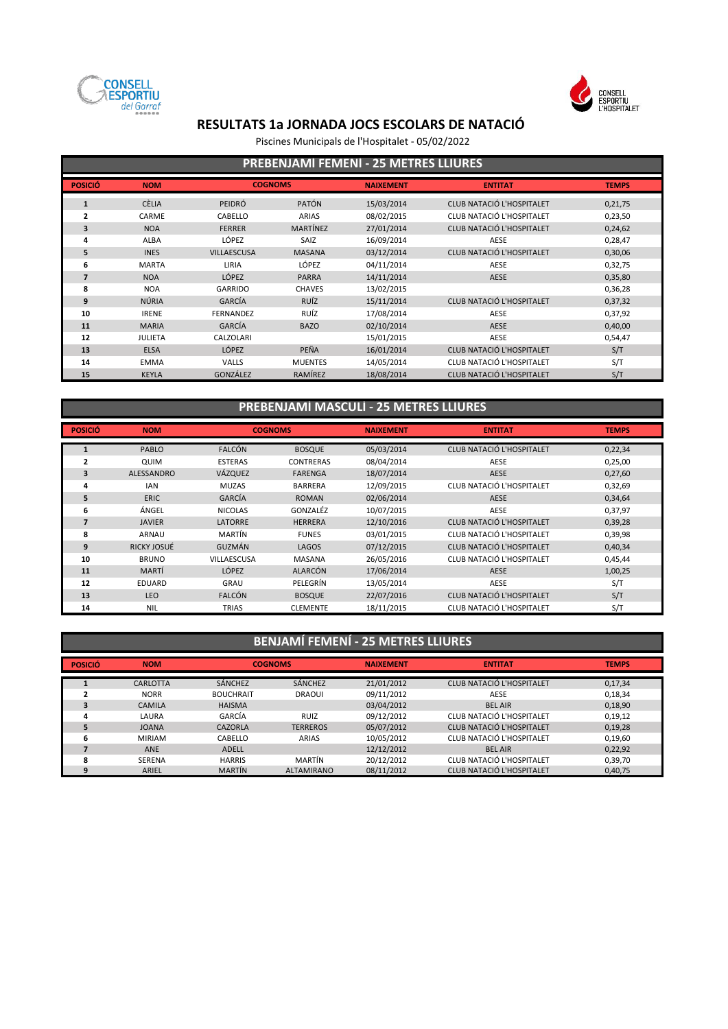



Piscines Municipals de l'Hospitalet - 05/02/2022

| <b>PREBENJAMI FEMENI - 25 METRES LLIURES</b> |                |                    |                 |                  |                                  |              |  |  |
|----------------------------------------------|----------------|--------------------|-----------------|------------------|----------------------------------|--------------|--|--|
| <b>POSICIÓ</b>                               | <b>NOM</b>     | <b>COGNOMS</b>     |                 | <b>NAIXEMENT</b> | <b>ENTITAT</b>                   | <b>TEMPS</b> |  |  |
| 1                                            | <b>CÈLIA</b>   | PEIDRÓ             | <b>PATÓN</b>    | 15/03/2014       | <b>CLUB NATACIÓ L'HOSPITALET</b> | 0,21,75      |  |  |
| 2                                            | CARME          | CABELLO            | <b>ARIAS</b>    | 08/02/2015       | CLUB NATACIÓ L'HOSPITALET        | 0,23,50      |  |  |
| 3                                            | <b>NOA</b>     | <b>FERRER</b>      | <b>MARTÍNEZ</b> | 27/01/2014       | <b>CLUB NATACIÓ L'HOSPITALET</b> | 0,24,62      |  |  |
| 4                                            | ALBA           | LÓPEZ              | SAIZ            | 16/09/2014       | AESE                             | 0,28,47      |  |  |
| 5                                            | <b>INES</b>    | <b>VILLAESCUSA</b> | <b>MASANA</b>   | 03/12/2014       | CLUB NATACIÓ L'HOSPITALET        | 0,30,06      |  |  |
| 6                                            | <b>MARTA</b>   | LIRIA              | LÓPEZ           | 04/11/2014       | AESE                             | 0,32,75      |  |  |
| $\overline{7}$                               | <b>NOA</b>     | LÓPEZ              | <b>PARRA</b>    | 14/11/2014       | AESE                             | 0,35,80      |  |  |
| 8                                            | <b>NOA</b>     | <b>GARRIDO</b>     | <b>CHAVES</b>   | 13/02/2015       |                                  | 0,36,28      |  |  |
| 9                                            | <b>NÚRIA</b>   | GARCÍA             | <b>RUÍZ</b>     | 15/11/2014       | <b>CLUB NATACIÓ L'HOSPITALET</b> | 0,37,32      |  |  |
| 10                                           | <b>IRENE</b>   | <b>FERNANDEZ</b>   | RUÍZ            | 17/08/2014       | AESE                             | 0,37,92      |  |  |
| 11                                           | <b>MARIA</b>   | GARCÍA             | <b>BAZO</b>     | 02/10/2014       | <b>AESE</b>                      | 0,40,00      |  |  |
| 12                                           | <b>JULIETA</b> | CALZOLARI          |                 | 15/01/2015       | AESE                             | 0,54,47      |  |  |
| 13                                           | <b>ELSA</b>    | <b>LÓPEZ</b>       | PEÑA            | 16/01/2014       | CLUB NATACIÓ L'HOSPITALET        | S/T          |  |  |
| 14                                           | <b>EMMA</b>    | VALLS              | <b>MUENTES</b>  | 14/05/2014       | CLUB NATACIÓ L'HOSPITALET        | S/T          |  |  |
| 15                                           | <b>KEYLA</b>   | GONZÁLEZ           | RAMÍREZ         | 18/08/2014       | <b>CLUB NATACIÓ L'HOSPITALET</b> | S/T          |  |  |

### **PREBENJAMÍ MASCULÍ - 25 METRES LLIURES**

| <b>POSICIÓ</b> | <b>NOM</b>        |                    | <b>COGNOMS</b>   | <b>NAIXEMENT</b> | <b>ENTITAT</b>            | <b>TEMPS</b> |
|----------------|-------------------|--------------------|------------------|------------------|---------------------------|--------------|
|                | PABLO             | <b>FALCÓN</b>      | <b>BOSQUE</b>    | 05/03/2014       | CLUB NATACIÓ L'HOSPITALET | 0,22,34      |
| 2              | QUIM              | <b>ESTERAS</b>     | <b>CONTRERAS</b> | 08/04/2014       | AESE                      | 0,25,00      |
| 3              | <b>ALESSANDRO</b> | VÁZQUEZ            | <b>FARENGA</b>   | 18/07/2014       | <b>AESE</b>               | 0,27,60      |
| 4              | <b>IAN</b>        | <b>MUZAS</b>       | <b>BARRERA</b>   | 12/09/2015       | CLUB NATACIÓ L'HOSPITALET | 0,32,69      |
| 5              | <b>ERIC</b>       | GARCÍA             | <b>ROMAN</b>     | 02/06/2014       | <b>AESE</b>               | 0,34,64      |
| 6              | ÁNGEL             | <b>NICOLAS</b>     | GONZALÉZ         | 10/07/2015       | AESE                      | 0,37,97      |
| $\overline{7}$ | <b>JAVIER</b>     | <b>LATORRE</b>     | <b>HERRERA</b>   | 12/10/2016       | CLUB NATACIÓ L'HOSPITALET | 0,39,28      |
| 8              | <b>ARNAU</b>      | MARTÍN             | <b>FUNES</b>     | 03/01/2015       | CLUB NATACIÓ L'HOSPITALET | 0,39,98      |
| 9              | RICKY JOSUÉ       | GUZMÁN             | LAGOS            | 07/12/2015       | CLUB NATACIÓ L'HOSPITALET | 0,40,34      |
| 10             | <b>BRUNO</b>      | <b>VILLAESCUSA</b> | <b>MASANA</b>    | 26/05/2016       | CLUB NATACIÓ L'HOSPITALET | 0,45,44      |
| 11             | MARTÍ             | LÓPEZ              | <b>ALARCÓN</b>   | 17/06/2014       | <b>AESE</b>               | 1,00,25      |
| 12             | EDUARD            | GRAU               | PELEGRÍN         | 13/05/2014       | AESE                      | S/T          |
| 13             | <b>LEO</b>        | <b>FALCÓN</b>      | <b>BOSQUE</b>    | 22/07/2016       | CLUB NATACIÓ L'HOSPITALET | S/T          |
| 14             | <b>NIL</b>        | <b>TRIAS</b>       | <b>CLEMENTE</b>  | 18/11/2015       | CLUB NATACIÓ L'HOSPITALET | S/T          |

### **BENJAMÍ FEMENÍ - 25 METRES LLIURES**

| <b>POSICIÓ</b> | <b>NOM</b>    |                  | <b>COGNOMS</b>    | <b>NAIXEMENT</b> | <b>ENTITAT</b>                   | <b>TEMPS</b> |
|----------------|---------------|------------------|-------------------|------------------|----------------------------------|--------------|
|                | CARLOTTA      | SÁNCHEZ          | <b>SÁNCHEZ</b>    | 21/01/2012       | CLUB NATACIÓ L'HOSPITALET        | 0,17,34      |
|                | <b>NORR</b>   | <b>BOUCHRAIT</b> | <b>DRAOUI</b>     | 09/11/2012       | AESE                             | 0,18,34      |
|                | <b>CAMILA</b> | <b>HAISMA</b>    |                   | 03/04/2012       | <b>BEL AIR</b>                   | 0,18,90      |
|                | LAURA         | GARCÍA           | RUIZ              | 09/12/2012       | CLUB NATACIÓ L'HOSPITALET        | 0,19,12      |
|                | <b>JOANA</b>  | CAZORLA          | <b>TERREROS</b>   | 05/07/2012       | <b>CLUB NATACIÓ L'HOSPITALET</b> | 0,19,28      |
| 6              | <b>MIRIAM</b> | CABELLO          | <b>ARIAS</b>      | 10/05/2012       | CLUB NATACIÓ L'HOSPITALET        | 0,19,60      |
|                | <b>ANE</b>    | <b>ADELL</b>     |                   | 12/12/2012       | <b>BEL AIR</b>                   | 0,22,92      |
| 8              | <b>SERENA</b> | <b>HARRIS</b>    | MARTÍN            | 20/12/2012       | CLUB NATACIÓ L'HOSPITALET        | 0,39,70      |
|                | ARIEL         | <b>MARTÍN</b>    | <b>ALTAMIRANO</b> | 08/11/2012       | <b>CLUB NATACIÓ L'HOSPITALET</b> | 0,40,75      |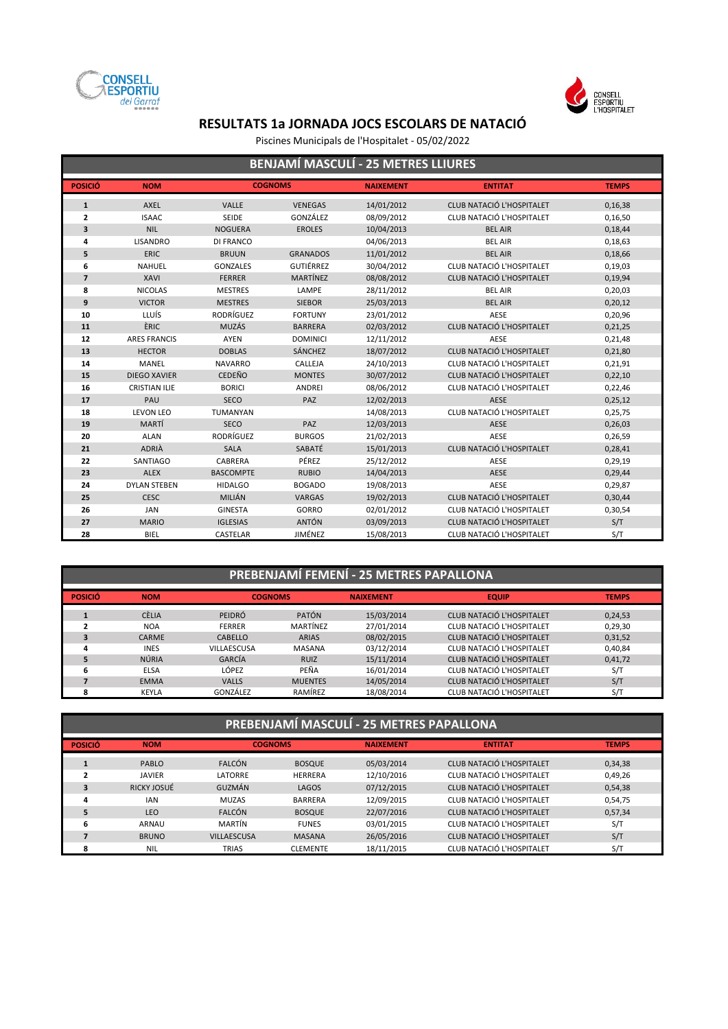



Piscines Municipals de l'Hospitalet - 05/02/2022

|                |                      |                  |                  |                  |                                  | <b>BENJAMI MASCULI - 25 METRES LLIURES</b> |  |  |  |  |  |  |  |  |  |
|----------------|----------------------|------------------|------------------|------------------|----------------------------------|--------------------------------------------|--|--|--|--|--|--|--|--|--|
| <b>POSICIÓ</b> | <b>NOM</b>           |                  | <b>COGNOMS</b>   | <b>NAIXEMENT</b> | <b>ENTITAT</b>                   | <b>TEMPS</b>                               |  |  |  |  |  |  |  |  |  |
| $\mathbf{1}$   | AXEL                 | <b>VALLE</b>     | <b>VENEGAS</b>   | 14/01/2012       | CLUB NATACIÓ L'HOSPITALET        | 0,16,38                                    |  |  |  |  |  |  |  |  |  |
| $\overline{2}$ | <b>ISAAC</b>         | <b>SEIDE</b>     | GONZÁLEZ         | 08/09/2012       | CLUB NATACIÓ L'HOSPITALET        | 0,16,50                                    |  |  |  |  |  |  |  |  |  |
| 3              | <b>NIL</b>           | <b>NOGUERA</b>   | <b>EROLES</b>    | 10/04/2013       | <b>BEL AIR</b>                   | 0,18,44                                    |  |  |  |  |  |  |  |  |  |
| 4              | <b>LISANDRO</b>      | <b>DI FRANCO</b> |                  | 04/06/2013       | <b>BEL AIR</b>                   | 0,18,63                                    |  |  |  |  |  |  |  |  |  |
| 5              | ERIC                 | <b>BRUUN</b>     | <b>GRANADOS</b>  | 11/01/2012       | <b>BEL AIR</b>                   | 0,18,66                                    |  |  |  |  |  |  |  |  |  |
| 6              | <b>NAHUEL</b>        | <b>GONZALES</b>  | <b>GUTIÉRREZ</b> | 30/04/2012       | CLUB NATACIÓ L'HOSPITALET        | 0,19,03                                    |  |  |  |  |  |  |  |  |  |
| $\overline{7}$ | <b>XAVI</b>          | <b>FERRER</b>    | <b>MARTÍNEZ</b>  | 08/08/2012       | CLUB NATACIÓ L'HOSPITALET        | 0,19,94                                    |  |  |  |  |  |  |  |  |  |
| 8              | <b>NICOLAS</b>       | <b>MESTRES</b>   | LAMPE            | 28/11/2012       | <b>BEL AIR</b>                   | 0,20,03                                    |  |  |  |  |  |  |  |  |  |
| 9              | <b>VICTOR</b>        | <b>MESTRES</b>   | <b>SIEBOR</b>    | 25/03/2013       | <b>BEL AIR</b>                   | 0,20,12                                    |  |  |  |  |  |  |  |  |  |
| 10             | LLUÍS                | RODRÍGUEZ        | <b>FORTUNY</b>   | 23/01/2012       | AESE                             | 0,20,96                                    |  |  |  |  |  |  |  |  |  |
| 11             | ÈRIC                 | <b>MUZÁS</b>     | <b>BARRERA</b>   | 02/03/2012       | <b>CLUB NATACIÓ L'HOSPITALET</b> | 0,21,25                                    |  |  |  |  |  |  |  |  |  |
| 12             | <b>ARES FRANCIS</b>  | <b>AYEN</b>      | <b>DOMINICI</b>  | 12/11/2012       | AESE                             | 0,21,48                                    |  |  |  |  |  |  |  |  |  |
| 13             | <b>HECTOR</b>        | <b>DOBLAS</b>    | <b>SÁNCHEZ</b>   | 18/07/2012       | <b>CLUB NATACIÓ L'HOSPITALET</b> | 0,21,80                                    |  |  |  |  |  |  |  |  |  |
| 14             | MANEL                | <b>NAVARRO</b>   | CALLEJA          | 24/10/2013       | CLUB NATACIÓ L'HOSPITALET        | 0,21,91                                    |  |  |  |  |  |  |  |  |  |
| 15             | <b>DIEGO XAVIER</b>  | <b>CEDEÑO</b>    | <b>MONTES</b>    | 30/07/2012       | <b>CLUB NATACIÓ L'HOSPITALET</b> | 0,22,10                                    |  |  |  |  |  |  |  |  |  |
| 16             | <b>CRISTIAN ILIE</b> | <b>BORICI</b>    | <b>ANDREI</b>    | 08/06/2012       | CLUB NATACIÓ L'HOSPITALET        | 0,22,46                                    |  |  |  |  |  |  |  |  |  |
| 17             | PAU                  | <b>SECO</b>      | PAZ              | 12/02/2013       | <b>AESE</b>                      | 0,25,12                                    |  |  |  |  |  |  |  |  |  |
| 18             | <b>LEVON LEO</b>     | TUMANYAN         |                  | 14/08/2013       | CLUB NATACIÓ L'HOSPITALET        | 0,25,75                                    |  |  |  |  |  |  |  |  |  |
| 19             | MARTÍ                | SECO             | PAZ              | 12/03/2013       | AESE                             | 0,26,03                                    |  |  |  |  |  |  |  |  |  |
| 20             | <b>ALAN</b>          | <b>RODRÍGUEZ</b> | <b>BURGOS</b>    | 21/02/2013       | AESE                             | 0,26,59                                    |  |  |  |  |  |  |  |  |  |
| 21             | <b>ADRIÀ</b>         | <b>SALA</b>      | SABATÉ           | 15/01/2013       | CLUB NATACIÓ L'HOSPITALET        | 0,28,41                                    |  |  |  |  |  |  |  |  |  |
| 22             | SANTIAGO             | CABRERA          | PÉREZ            | 25/12/2012       | AESE                             | 0,29,19                                    |  |  |  |  |  |  |  |  |  |
| 23             | <b>ALEX</b>          | <b>BASCOMPTE</b> | <b>RUBIO</b>     | 14/04/2013       | <b>AESE</b>                      | 0,29,44                                    |  |  |  |  |  |  |  |  |  |
| 24             | <b>DYLAN STEBEN</b>  | <b>HIDALGO</b>   | <b>BOGADO</b>    | 19/08/2013       | AESE                             | 0,29,87                                    |  |  |  |  |  |  |  |  |  |
| 25             | <b>CESC</b>          | MILIÁN           | <b>VARGAS</b>    | 19/02/2013       | <b>CLUB NATACIÓ L'HOSPITALET</b> | 0,30,44                                    |  |  |  |  |  |  |  |  |  |
| 26             | <b>JAN</b>           | <b>GINESTA</b>   | GORRO            | 02/01/2012       | CLUB NATACIÓ L'HOSPITALET        | 0,30,54                                    |  |  |  |  |  |  |  |  |  |
| 27             | <b>MARIO</b>         | <b>IGLESIAS</b>  | <b>ANTÓN</b>     | 03/09/2013       | <b>CLUB NATACIÓ L'HOSPITALET</b> | S/T                                        |  |  |  |  |  |  |  |  |  |
| 28             | <b>BIEL</b>          | CASTELAR         | <b>JIMÉNEZ</b>   | 15/08/2013       | CLUB NATACIÓ L'HOSPITALET        | S/T                                        |  |  |  |  |  |  |  |  |  |

### **PREBENJAMÍ FEMENÍ - 25 METRES PAPALLONA A AREA ELECTRONIA DE PREBENJAMÍ FEMENÍ - 25 METRES PAPALLONA**

| <b>POSICIÓ</b> | <b>NOM</b>   | <b>COGNOMS</b> |                | <b>NAIXEMENT</b> | <b>EQUIP</b>              | <b>TEMPS</b> |
|----------------|--------------|----------------|----------------|------------------|---------------------------|--------------|
|                | <b>CÈLIA</b> | <b>PEIDRÓ</b>  | <b>PATÓN</b>   | 15/03/2014       | CLUB NATACIÓ L'HOSPITALET | 0,24,53      |
|                | <b>NOA</b>   | <b>FERRER</b>  | MARTÍNEZ       | 27/01/2014       | CLUB NATACIÓ L'HOSPITALET | 0,29,30      |
|                | <b>CARME</b> | <b>CABELLO</b> | <b>ARIAS</b>   | 08/02/2015       | CLUB NATACIÓ L'HOSPITALET | 0,31,52      |
| 4              | <b>INES</b>  | VILLAESCUSA    | <b>MASANA</b>  | 03/12/2014       | CLUB NATACIÓ L'HOSPITALET | 0,40,84      |
|                | NÚRIA        | GARCÍA         | RUIZ           | 15/11/2014       | CLUB NATACIÓ L'HOSPITALET | 0,41,72      |
| 6              | <b>ELSA</b>  | LÓPEZ          | PEÑA           | 16/01/2014       | CLUB NATACIÓ L'HOSPITALET | S/T          |
|                | <b>EMMA</b>  | <b>VALLS</b>   | <b>MUENTES</b> | 14/05/2014       | CLUB NATACIÓ L'HOSPITALET | S/T          |
| Զ              | KEYLA        | GONZÁLEZ       | RAMÍREZ        | 18/08/2014       | CLUB NATACIÓ L'HOSPITALET | S/T          |

| PREBENJAMÍ MASCULÍ - 25 METRES PAPALLONA |               |                    |                 |            |                           |              |  |  |  |
|------------------------------------------|---------------|--------------------|-----------------|------------|---------------------------|--------------|--|--|--|
| <b>POSICIÓ</b>                           | <b>NOM</b>    |                    | <b>COGNOMS</b>  |            | <b>ENTITAT</b>            | <b>TEMPS</b> |  |  |  |
| ш                                        | PABLO         | <b>FALCÓN</b>      | <b>BOSQUE</b>   | 05/03/2014 | CLUB NATACIÓ L'HOSPITALET | 0,34,38      |  |  |  |
| $\overline{2}$                           | <b>JAVIER</b> | LATORRE            | <b>HERRERA</b>  | 12/10/2016 | CLUB NATACIÓ L'HOSPITALET | 0,49,26      |  |  |  |
| 3                                        | RICKY JOSUÉ   | GUZMÁN             | LAGOS           | 07/12/2015 | CLUB NATACIÓ L'HOSPITALET | 0,54,38      |  |  |  |
| 4                                        | <b>IAN</b>    | <b>MUZAS</b>       | <b>BARRERA</b>  | 12/09/2015 | CLUB NATACIÓ L'HOSPITALET | 0,54,75      |  |  |  |
| 5                                        | <b>LEO</b>    | <b>FALCÓN</b>      | <b>BOSQUE</b>   | 22/07/2016 | CLUB NATACIÓ L'HOSPITALET | 0,57,34      |  |  |  |
| 6                                        | ARNAU         | MARTÍN             | <b>FUNES</b>    | 03/01/2015 | CLUB NATACIÓ L'HOSPITALET | S/T          |  |  |  |
| 7                                        | <b>BRUNO</b>  | <b>VILLAESCUSA</b> | <b>MASANA</b>   | 26/05/2016 | CLUB NATACIÓ L'HOSPITALET | S/T          |  |  |  |
| 8                                        | <b>NIL</b>    | <b>TRIAS</b>       | <b>CLEMENTE</b> | 18/11/2015 | CLUB NATACIÓ L'HOSPITALET | S/T          |  |  |  |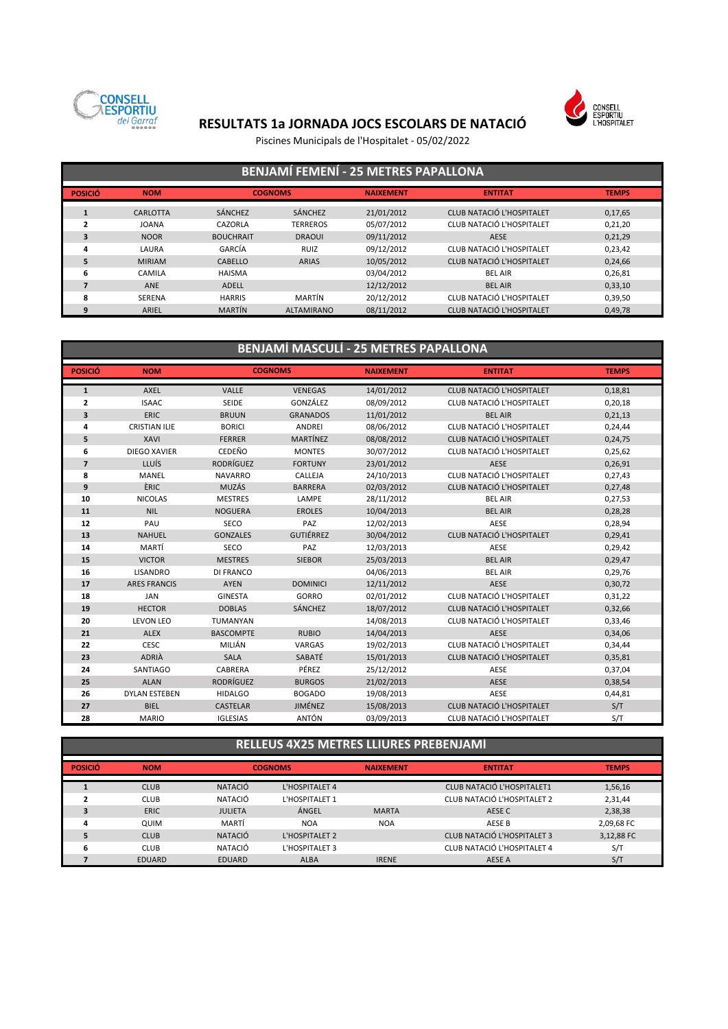

# CONSELL<br>ESPORTIU<br>L'HOSPITALET

# **RESULTATS 1a JORNADA JOCS ESCOLARS DE NATACIÓ**

Piscines Municipals de l'Hospitalet - 05/02/2022

|                | <b>BENJAMÍ FEMENÍ - 25 METRES PAPALLONA</b> |                  |                   |                  |                                  |              |  |  |  |  |
|----------------|---------------------------------------------|------------------|-------------------|------------------|----------------------------------|--------------|--|--|--|--|
| <b>POSICIÓ</b> | <b>NOM</b>                                  |                  | <b>COGNOMS</b>    | <b>NAIXEMENT</b> | <b>ENTITAT</b>                   | <b>TEMPS</b> |  |  |  |  |
| $\mathbf{1}$   | CARLOTTA                                    | SÁNCHEZ          | <b>SÁNCHEZ</b>    | 21/01/2012       | CLUB NATACIÓ L'HOSPITALET        | 0,17,65      |  |  |  |  |
|                | <b>JOANA</b>                                | CAZORLA          | <b>TERREROS</b>   | 05/07/2012       | CLUB NATACIÓ L'HOSPITALET        | 0,21,20      |  |  |  |  |
| 3              | <b>NOOR</b>                                 | <b>BOUCHRAIT</b> | <b>DRAOUI</b>     | 09/11/2012       | <b>AESE</b>                      | 0,21,29      |  |  |  |  |
| 4              | LAURA                                       | GARCÍA           | <b>RUIZ</b>       | 09/12/2012       | CLUB NATACIÓ L'HOSPITALET        | 0,23,42      |  |  |  |  |
| 5              | <b>MIRIAM</b>                               | CABELLO          | <b>ARIAS</b>      | 10/05/2012       | <b>CLUB NATACIÓ L'HOSPITALET</b> | 0,24,66      |  |  |  |  |
| 6              | CAMILA                                      | <b>HAISMA</b>    |                   | 03/04/2012       | <b>BEL AIR</b>                   | 0,26,81      |  |  |  |  |
|                | <b>ANE</b>                                  | ADELL            |                   | 12/12/2012       | <b>BEL AIR</b>                   | 0,33,10      |  |  |  |  |
| 8              | <b>SERENA</b>                               | <b>HARRIS</b>    | MARTÍN            | 20/12/2012       | CLUB NATACIÓ L'HOSPITALET        | 0,39,50      |  |  |  |  |
| 9              | ARIEL                                       | <b>MARTÍN</b>    | <b>ALTAMIRANO</b> | 08/11/2012       | CLUB NATACIÓ L'HOSPITALET        | 0,49,78      |  |  |  |  |

### **BENJAMÍ MASCULÍ - 25 METRES PAPALLONA**

| <b>POSICIÓ</b> | <b>NOM</b>           |                  | <b>COGNOMS</b>   | <b>NAIXEMENT</b> | <b>ENTITAT</b>                   | <b>TEMPS</b> |
|----------------|----------------------|------------------|------------------|------------------|----------------------------------|--------------|
| $\mathbf{1}$   | <b>AXEL</b>          | <b>VALLE</b>     | <b>VENEGAS</b>   | 14/01/2012       | <b>CLUB NATACIÓ L'HOSPITALET</b> | 0,18,81      |
| $\mathbf{2}$   | <b>ISAAC</b>         | <b>SEIDE</b>     | GONZÁLEZ         | 08/09/2012       | CLUB NATACIÓ L'HOSPITALET        | 0,20,18      |
| 3              | <b>ERIC</b>          | <b>BRUUN</b>     | <b>GRANADOS</b>  | 11/01/2012       | <b>BEL AIR</b>                   | 0,21,13      |
| 4              | <b>CRISTIAN ILIE</b> | <b>BORICI</b>    | ANDREI           | 08/06/2012       | CLUB NATACIÓ L'HOSPITALET        | 0,24,44      |
| 5              | <b>XAVI</b>          | <b>FERRER</b>    | <b>MARTÍNEZ</b>  | 08/08/2012       | CLUB NATACIÓ L'HOSPITALET        | 0,24,75      |
| 6              | <b>DIEGO XAVIER</b>  | CEDEÑO           | <b>MONTES</b>    | 30/07/2012       | CLUB NATACIÓ L'HOSPITALET        | 0,25,62      |
| $\overline{7}$ | LLUÍS                | <b>RODRÍGUEZ</b> | <b>FORTUNY</b>   | 23/01/2012       | <b>AESE</b>                      | 0,26,91      |
| 8              | <b>MANEL</b>         | <b>NAVARRO</b>   | CALLEJA          | 24/10/2013       | CLUB NATACIÓ L'HOSPITALET        | 0,27,43      |
| 9              | ÈRIC                 | MUZÁS            | <b>BARRERA</b>   | 02/03/2012       | <b>CLUB NATACIÓ L'HOSPITALET</b> | 0,27,48      |
| 10             | <b>NICOLAS</b>       | <b>MESTRES</b>   | LAMPE            | 28/11/2012       | <b>BEL AIR</b>                   | 0,27,53      |
| 11             | <b>NIL</b>           | <b>NOGUERA</b>   | <b>EROLES</b>    | 10/04/2013       | <b>BEL AIR</b>                   | 0,28,28      |
| 12             | PAU                  | SECO             | PAZ              | 12/02/2013       | AESE                             | 0,28,94      |
| 13             | <b>NAHUEL</b>        | <b>GONZALES</b>  | <b>GUTIÉRREZ</b> | 30/04/2012       | CLUB NATACIÓ L'HOSPITALET        | 0,29,41      |
| 14             | MARTÍ                | SECO             | PAZ              | 12/03/2013       | AESE                             | 0,29,42      |
| 15             | <b>VICTOR</b>        | <b>MESTRES</b>   | <b>SIEBOR</b>    | 25/03/2013       | <b>BEL AIR</b>                   | 0,29,47      |
| 16             | <b>LISANDRO</b>      | <b>DI FRANCO</b> |                  | 04/06/2013       | <b>BEL AIR</b>                   | 0,29,76      |
| 17             | <b>ARES FRANCIS</b>  | <b>AYEN</b>      | <b>DOMINICI</b>  | 12/11/2012       | <b>AESE</b>                      | 0,30,72      |
| 18             | <b>JAN</b>           | <b>GINESTA</b>   | <b>GORRO</b>     | 02/01/2012       | CLUB NATACIÓ L'HOSPITALET        | 0,31,22      |
| 19             | <b>HECTOR</b>        | <b>DOBLAS</b>    | <b>SÁNCHEZ</b>   | 18/07/2012       | <b>CLUB NATACIÓ L'HOSPITALET</b> | 0,32,66      |
| 20             | <b>LEVON LEO</b>     | TUMANYAN         |                  | 14/08/2013       | CLUB NATACIÓ L'HOSPITALET        | 0,33,46      |
| 21             | <b>ALEX</b>          | <b>BASCOMPTE</b> | <b>RUBIO</b>     | 14/04/2013       | <b>AESE</b>                      | 0,34,06      |
| 22             | CESC                 | MILIÁN           | VARGAS           | 19/02/2013       | CLUB NATACIÓ L'HOSPITALET        | 0,34,44      |
| 23             | <b>ADRIA</b>         | <b>SALA</b>      | SABATÉ           | 15/01/2013       | <b>CLUB NATACIÓ L'HOSPITALET</b> | 0,35,81      |
| 24             | SANTIAGO             | CABRERA          | PÉREZ            | 25/12/2012       | AESE                             | 0,37,04      |
| 25             | <b>ALAN</b>          | <b>RODRÍGUEZ</b> | <b>BURGOS</b>    | 21/02/2013       | <b>AESE</b>                      | 0,38,54      |
| 26             | <b>DYLAN ESTEBEN</b> | <b>HIDALGO</b>   | <b>BOGADO</b>    | 19/08/2013       | <b>AESE</b>                      | 0,44,81      |
| 27             | <b>BIEL</b>          | <b>CASTELAR</b>  | <b>JIMÉNEZ</b>   | 15/08/2013       | <b>CLUB NATACIÓ L'HOSPITALET</b> | S/T          |
| 28             | <b>MARIO</b>         | <b>IGLESIAS</b>  | <b>ANTÓN</b>     | 03/09/2013       | CLUB NATACIÓ L'HOSPITALET        | S/T          |

### **RELLEUS 4X25 METRES LLIURES PREBENJAMÍ**

| <b>POSICIÓ</b> | <b>NOM</b>  |                | <b>COGNOMS</b> | <b>NAIXEMENT</b> | <b>ENTITAT</b>                    | <b>TEMPS</b> |
|----------------|-------------|----------------|----------------|------------------|-----------------------------------|--------------|
|                |             |                |                |                  |                                   |              |
|                | <b>CLUB</b> | <b>NATACIÓ</b> | L'HOSPITALET 4 |                  | <b>CLUB NATACIÓ L'HOSPITALET1</b> | 1,56,16      |
|                | <b>CLUB</b> | NATACIÓ        | L'HOSPITALET 1 |                  | CLUB NATACIÓ L'HOSPITALET 2       | 2,31,44      |
|                | <b>ERIC</b> | <b>JULIETA</b> | ÁNGEL          | <b>MARTA</b>     | AESE C                            | 2,38,38      |
| д              | QUIM        | MARTÍ          | <b>NOA</b>     | <b>NOA</b>       | <b>AESE B</b>                     | 2,09,68 FC   |
|                | <b>CLUB</b> | <b>NATACIÓ</b> | L'HOSPITALET 2 |                  | CLUB NATACIÓ L'HOSPITALET 3       | 3,12,88 FC   |
| ь              | <b>CLUB</b> | NATACIÓ        | L'HOSPITALET 3 |                  | CLUB NATACIÓ L'HOSPITALET 4       | S/T          |
|                | EDUARD      | EDUARD         | <b>ALBA</b>    | <b>IRENE</b>     | AESE A                            | S/T          |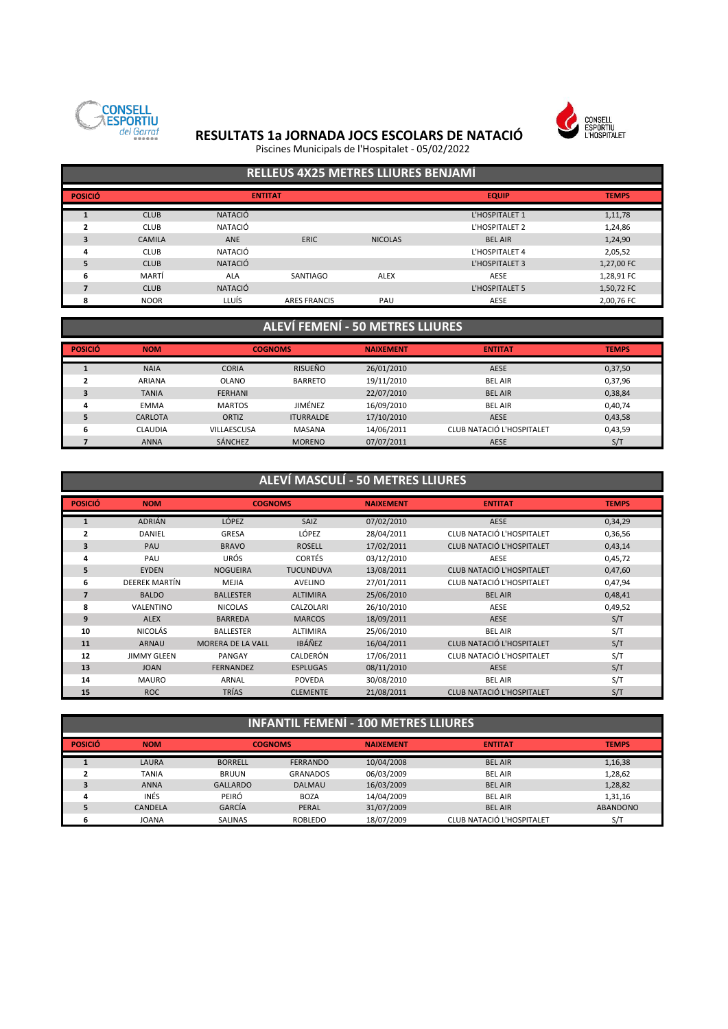



Piscines Municipals de l'Hospitalet - 05/02/2022

# **RELLEUS 4X25 METRES LLIURES BENJAMÍ**

| <b>POSICIÓ</b> |               | <b>ENTITAT</b> |                     | <b>EQUIP</b>   | <b>TEMPS</b>   |            |
|----------------|---------------|----------------|---------------------|----------------|----------------|------------|
|                | <b>CLUB</b>   | <b>NATACIÓ</b> |                     |                | L'HOSPITALET 1 | 1,11,78    |
|                | <b>CLUB</b>   | NATACIÓ        |                     |                | L'HOSPITALET 2 | 1,24,86    |
| 3              | <b>CAMILA</b> | <b>ANE</b>     | <b>ERIC</b>         | <b>NICOLAS</b> | <b>BEL AIR</b> | 1,24,90    |
| 4              | <b>CLUB</b>   | NATACIÓ        |                     |                | L'HOSPITALET 4 | 2,05,52    |
| 5              | <b>CLUB</b>   | <b>NATACIÓ</b> |                     |                | L'HOSPITALET 3 | 1,27,00 FC |
| 6              | MARTÍ         | ALA            | SANTIAGO            | <b>ALEX</b>    | AESE           | 1,28,91 FC |
|                | <b>CLUB</b>   | <b>NATACIÓ</b> |                     |                | L'HOSPITALET 5 | 1,50,72 FC |
| я              | <b>NOOR</b>   | LLUÍS          | <b>ARES FRANCIS</b> | PAU            | AESE           | 2,00,76 FC |

### **ALEVÍ FEMENÍ - 50 METRES LLIURES**

| <b>POSICIÓ</b> | <b>NOM</b>     | <b>COGNOMS</b>     |                  | <b>NAIXEMENT</b> | <b>ENTITAT</b>            | <b>TEMPS</b> |
|----------------|----------------|--------------------|------------------|------------------|---------------------------|--------------|
|                | <b>NAIA</b>    | <b>CORIA</b>       | <b>RISUEÑO</b>   | 26/01/2010       | <b>AESE</b>               | 0,37,50      |
|                | <b>ARIANA</b>  | <b>OLANO</b>       | <b>BARRETO</b>   | 19/11/2010       | <b>BEL AIR</b>            | 0,37,96      |
|                | <b>TANIA</b>   | <b>FERHANI</b>     |                  | 22/07/2010       | <b>BEL AIR</b>            | 0,38,84      |
| 4              | <b>EMMA</b>    | <b>MARTOS</b>      | JIMÉNEZ          | 16/09/2010       | <b>BEL AIR</b>            | 0,40,74      |
|                | CARLOTA        | ORTIZ              | <b>ITURRALDE</b> | 17/10/2010       | <b>AESE</b>               | 0,43,58      |
| ь              | <b>CLAUDIA</b> | <b>VILLAESCUSA</b> | MASANA           | 14/06/2011       | CLUB NATACIÓ L'HOSPITALET | 0,43,59      |
|                | <b>ANNA</b>    | <b>SÁNCHEZ</b>     | <b>MORENO</b>    | 07/07/2011       | <b>AESE</b>               | S/T          |

### **ALEVÍ MASCULÍ - 50 METRES LLIURES**

| <b>POSICIÓ</b> | <b>NOM</b>         | <b>COGNOMS</b>           |                  | <b>NAIXEMENT</b> | <b>ENTITAT</b>                   | <b>TEMPS</b> |
|----------------|--------------------|--------------------------|------------------|------------------|----------------------------------|--------------|
| $\mathbf{1}$   | <b>ADRIÁN</b>      | <b>LÓPEZ</b>             | <b>SAIZ</b>      | 07/02/2010       | <b>AESE</b>                      | 0,34,29      |
| $\mathbf{2}$   | DANIEL             | <b>GRESA</b>             | LÓPEZ            | 28/04/2011       | CLUB NATACIÓ L'HOSPITALET        | 0,36,56      |
| 3              | PAU                | <b>BRAVO</b>             | <b>ROSELL</b>    | 17/02/2011       | <b>CLUB NATACIÓ L'HOSPITALET</b> | 0,43,14      |
| 4              | PAU                | URÓS                     | <b>CORTÉS</b>    | 03/12/2010       | AESE                             | 0,45,72      |
| 5              | <b>EYDEN</b>       | <b>NOGUEIRA</b>          | <b>TUCUNDUVA</b> | 13/08/2011       | <b>CLUB NATACIÓ L'HOSPITALET</b> | 0,47,60      |
| 6              | DEEREK MARTÍN      | <b>MEJIA</b>             | <b>AVELINO</b>   | 27/01/2011       | CLUB NATACIÓ L'HOSPITALET        | 0,47,94      |
| $\overline{7}$ | <b>BALDO</b>       | <b>BALLESTER</b>         | <b>ALTIMIRA</b>  | 25/06/2010       | <b>BEL AIR</b>                   | 0,48,41      |
| 8              | VALENTINO          | <b>NICOLAS</b>           | CALZOLARI        | 26/10/2010       | AESE                             | 0,49,52      |
| 9              | <b>ALEX</b>        | <b>BARREDA</b>           | <b>MARCOS</b>    | 18/09/2011       | <b>AESE</b>                      | S/T          |
| 10             | NICOLÁS            | <b>BALLESTER</b>         | <b>ALTIMIRA</b>  | 25/06/2010       | <b>BEL AIR</b>                   | S/T          |
| 11             | <b>ARNAU</b>       | <b>MORERA DE LA VALL</b> | <b>IBÁÑEZ</b>    | 16/04/2011       | CLUB NATACIÓ L'HOSPITALET        | S/T          |
| 12             | <b>JIMMY GLEEN</b> | PANGAY                   | CALDERÓN         | 17/06/2011       | CLUB NATACIÓ L'HOSPITALET        | S/T          |
| 13             | <b>JOAN</b>        | <b>FERNANDEZ</b>         | <b>ESPLUGAS</b>  | 08/11/2010       | <b>AESE</b>                      | S/T          |
| 14             | <b>MAURO</b>       | ARNAL                    | <b>POVEDA</b>    | 30/08/2010       | <b>BEL AIR</b>                   | S/T          |
| 15             | <b>ROC</b>         | <b>TRÍAS</b>             | <b>CLEMENTE</b>  | 21/08/2011       | CLUB NATACIÓ L'HOSPITALET        | S/T          |

| <b>INFANTIL FEMENI - 100 METRES LLIURES</b> |                |                 |                 |                  |                           |                 |  |  |  |
|---------------------------------------------|----------------|-----------------|-----------------|------------------|---------------------------|-----------------|--|--|--|
| <b>POSICIÓ</b>                              | <b>NOM</b>     | <b>COGNOMS</b>  |                 | <b>NAIXEMENT</b> | <b>ENTITAT</b>            | <b>TEMPS</b>    |  |  |  |
|                                             | LAURA          | <b>BORRELL</b>  | <b>FERRANDO</b> | 10/04/2008       | <b>BEL AIR</b>            | 1,16,38         |  |  |  |
|                                             | <b>TANIA</b>   | <b>BRUUN</b>    | <b>GRANADOS</b> | 06/03/2009       | <b>BEL AIR</b>            | 1,28,62         |  |  |  |
|                                             | <b>ANNA</b>    | <b>GALLARDO</b> | <b>DALMAU</b>   | 16/03/2009       | <b>BEL AIR</b>            | 1,28,82         |  |  |  |
| 4                                           | INÉS           | PEIRÓ           | <b>BOZA</b>     | 14/04/2009       | <b>BEL AIR</b>            | 1,31,16         |  |  |  |
|                                             | <b>CANDELA</b> | GARCÍA          | PERAL           | 31/07/2009       | <b>BEL AIR</b>            | <b>ABANDONO</b> |  |  |  |
|                                             | <b>JOANA</b>   | SALINAS         | <b>ROBLEDO</b>  | 18/07/2009       | CLUB NATACIÓ L'HOSPITALET | S/T             |  |  |  |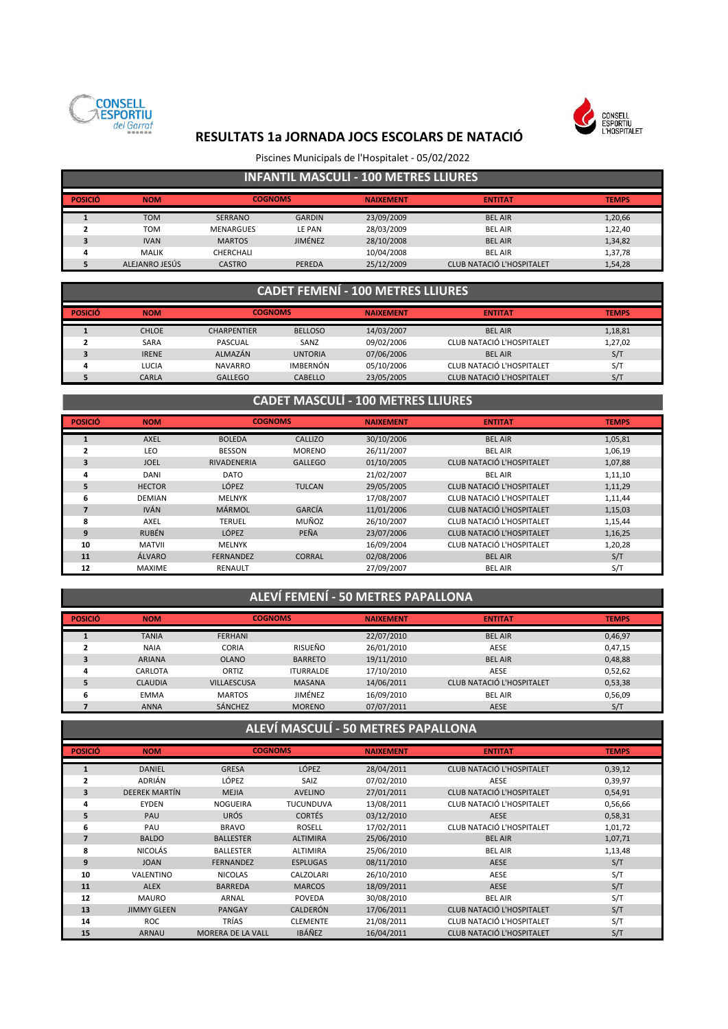



### Piscines Municipals de l'Hospitalet - 05/02/2022

### **INFANTIL MASCULÍ - 100 METRES LLIURES**

| <b>POSICIÓ</b> | <b>NOM</b>     | <b>COGNOMS</b>   |               | <b>NAIXEMENT</b> | <b>ENTITAT</b>            | <b>TEMPS</b> |
|----------------|----------------|------------------|---------------|------------------|---------------------------|--------------|
|                |                |                  |               |                  |                           |              |
|                | <b>TOM</b>     | <b>SERRANO</b>   | <b>GARDIN</b> | 23/09/2009       | <b>BEL AIR</b>            | 1,20,66      |
|                | <b>TOM</b>     | <b>MENARGUES</b> | LE PAN        | 28/03/2009       | <b>BEL AIR</b>            | 1,22,40      |
|                | <b>IVAN</b>    | <b>MARTOS</b>    | JIMÉNEZ       | 28/10/2008       | <b>BEL AIR</b>            | 1,34,82      |
|                | <b>MALIK</b>   | CHERCHALI        |               | 10/04/2008       | <b>BEL AIR</b>            | 1,37,78      |
|                | ALEJANRO JESÚS | <b>CASTRO</b>    | PEREDA        | 25/12/2009       | CLUB NATACIÓ L'HOSPITALET | 1,54,28      |

### **CADET FEMENÍ - 100 METRES LLIURES**

| <b>POSICIÓ</b> | <b>NOM</b>   | <b>COGNOMS</b>     |                 | <b>NAIXEMENT</b> | <b>ENTITAT</b>            | <b>TEMPS</b> |
|----------------|--------------|--------------------|-----------------|------------------|---------------------------|--------------|
|                |              |                    |                 |                  |                           |              |
|                | <b>CHLOE</b> | <b>CHARPENTIER</b> | <b>BELLOSO</b>  | 14/03/2007       | <b>BEL AIR</b>            | 1,18,81      |
|                | SARA         | PASCUAL            | SANZ            | 09/02/2006       | CLUB NATACIÓ L'HOSPITALET | 1,27,02      |
|                | <b>IRENE</b> | ALMAZÁN            | <b>UNTORIA</b>  | 07/06/2006       | <b>BEL AIR</b>            | S/T          |
| д              | LUCIA        | <b>NAVARRO</b>     | <b>IMBERNÓN</b> | 05/10/2006       | CLUB NATACIÓ L'HOSPITALET | S/T          |
|                | CARLA        | GALLEGO            | <b>CABELLO</b>  | 23/05/2005       | CLUB NATACIÓ L'HOSPITALET | S/T          |

### **CADET MASCULÍ - 100 METRES LLIURES**

| <b>POSICIÓ</b> | <b>NOM</b>    | <b>COGNOMS</b>     |                | <b>NAIXEMENT</b> | <b>ENTITAT</b>            | <b>TEMPS</b> |
|----------------|---------------|--------------------|----------------|------------------|---------------------------|--------------|
|                | <b>AXEL</b>   | <b>BOLEDA</b>      | CALLIZO        | 30/10/2006       | <b>BEL AIR</b>            | 1,05,81      |
| 2              | LEO           | <b>BESSON</b>      | <b>MORENO</b>  | 26/11/2007       | <b>BEL AIR</b>            | 1,06,19      |
| 3              | <b>JOEL</b>   | <b>RIVADENERIA</b> | <b>GALLEGO</b> | 01/10/2005       | CLUB NATACIÓ L'HOSPITALET | 1,07,88      |
| 4              | <b>DANI</b>   | <b>DATO</b>        |                | 21/02/2007       | <b>BEL AIR</b>            | 1,11,10      |
| 5              | <b>HECTOR</b> | LÓPEZ              | <b>TULCAN</b>  | 29/05/2005       | CLUB NATACIÓ L'HOSPITALET | 1,11,29      |
| 6              | <b>DEMIAN</b> | <b>MELNYK</b>      |                | 17/08/2007       | CLUB NATACIÓ L'HOSPITALET | 1,11,44      |
|                | <b>IVÁN</b>   | MÁRMOL             | GARCÍA         | 11/01/2006       | CLUB NATACIÓ L'HOSPITALET | 1,15,03      |
| 8              | AXEL          | <b>TERUEL</b>      | MUÑOZ          | 26/10/2007       | CLUB NATACIÓ L'HOSPITALET | 1,15,44      |
| 9              | <b>RUBÉN</b>  | LÓPEZ              | PEÑA           | 23/07/2006       | CLUB NATACIÓ L'HOSPITALET | 1,16,25      |
| 10             | <b>MATVII</b> | <b>MELNYK</b>      |                | 16/09/2004       | CLUB NATACIÓ L'HOSPITALET | 1,20,28      |
| 11             | ÁLVARO        | <b>FERNANDEZ</b>   | <b>CORRAL</b>  | 02/08/2006       | <b>BEL AIR</b>            | S/T          |
| 12             | <b>MAXIME</b> | <b>RENAULT</b>     |                | 27/09/2007       | <b>BEL AIR</b>            | S/T          |

### **ALEVÍ FEMENÍ - 50 METRES PAPALLONA**

| <b>POSICIÓ</b> | <b>NOM</b>     | <b>COGNOMS</b>     |                  | <b>NAIXEMENT</b> | <b>ENTITAT</b>            | <b>TEMPS</b> |
|----------------|----------------|--------------------|------------------|------------------|---------------------------|--------------|
|                | <b>TANIA</b>   | <b>FERHANI</b>     |                  | 22/07/2010       | <b>BEL AIR</b>            | 0,46,97      |
|                | <b>NAIA</b>    | <b>CORIA</b>       | RISUEÑO          | 26/01/2010       | AESE                      | 0,47,15      |
| э              | <b>ARIANA</b>  | <b>OLANO</b>       | <b>BARRETO</b>   | 19/11/2010       | <b>BEL AIR</b>            | 0,48,88      |
|                | CARLOTA        | ORTIZ              | <b>ITURRALDE</b> | 17/10/2010       | <b>AESE</b>               | 0,52,62      |
|                | <b>CLAUDIA</b> | <b>VILLAESCUSA</b> | <b>MASANA</b>    | 14/06/2011       | CLUB NATACIÓ L'HOSPITALET | 0,53,38      |
| 6              | <b>EMMA</b>    | <b>MARTOS</b>      | JIMÉNEZ          | 16/09/2010       | <b>BEL AIR</b>            | 0,56,09      |
|                | <b>ANNA</b>    | <b>SÁNCHEZ</b>     | <b>MORENO</b>    | 07/07/2011       | <b>AESE</b>               | S/T          |

## **ALEVÍ MASCULÍ - 50 METRES PAPALLONA**

| <b>POSICIÓ</b> | <b>NOM</b>           | <b>COGNOMS</b>           |                  | <b>NAIXEMENT</b> | <b>ENTITAT</b>                   | <b>TEMPS</b> |
|----------------|----------------------|--------------------------|------------------|------------------|----------------------------------|--------------|
|                | <b>DANIEL</b>        | <b>GRESA</b>             | LÓPEZ            | 28/04/2011       | CLUB NATACIÓ L'HOSPITALET        |              |
|                |                      |                          |                  |                  |                                  | 0,39,12      |
| $\overline{2}$ | ADRIÁN               | LÓPEZ                    | SAIZ             | 07/02/2010       | AESE                             | 0,39,97      |
| 3              | <b>DEEREK MARTÍN</b> | <b>MEJIA</b>             | <b>AVELINO</b>   | 27/01/2011       | CLUB NATACIÓ L'HOSPITALET        | 0,54,91      |
| 4              | <b>EYDEN</b>         | <b>NOGUEIRA</b>          | <b>TUCUNDUVA</b> | 13/08/2011       | CLUB NATACIÓ L'HOSPITALET        | 0,56,66      |
| 5              | PAU                  | <b>URÓS</b>              | <b>CORTÉS</b>    | 03/12/2010       | <b>AESE</b>                      | 0,58,31      |
| 6              | PAU                  | <b>BRAVO</b>             | <b>ROSELL</b>    | 17/02/2011       | CLUB NATACIÓ L'HOSPITALET        | 1,01,72      |
| 7              | <b>BALDO</b>         | <b>BALLESTER</b>         | <b>ALTIMIRA</b>  | 25/06/2010       | <b>BEL AIR</b>                   | 1,07,71      |
| 8              | NICOLÁS              | <b>BALLESTER</b>         | <b>ALTIMIRA</b>  | 25/06/2010       | <b>BEL AIR</b>                   | 1,13,48      |
| 9              | <b>JOAN</b>          | <b>FERNANDEZ</b>         | <b>ESPLUGAS</b>  | 08/11/2010       | <b>AESE</b>                      | S/T          |
| 10             | VALENTINO            | <b>NICOLAS</b>           | CALZOLARI        | 26/10/2010       | AESE                             | S/T          |
| 11             | <b>ALEX</b>          | <b>BARREDA</b>           | <b>MARCOS</b>    | 18/09/2011       | <b>AESE</b>                      | S/T          |
| 12             | <b>MAURO</b>         | ARNAL                    | <b>POVEDA</b>    | 30/08/2010       | <b>BEL AIR</b>                   | S/T          |
| 13             | <b>JIMMY GLEEN</b>   | <b>PANGAY</b>            | <b>CALDERÓN</b>  | 17/06/2011       | CLUB NATACIÓ L'HOSPITALET        | S/T          |
| 14             | <b>ROC</b>           | TRÍAS                    | <b>CLEMENTE</b>  | 21/08/2011       | CLUB NATACIÓ L'HOSPITALET        | S/T          |
| 15             | <b>ARNAU</b>         | <b>MORERA DE LA VALL</b> | <b>IBÁÑEZ</b>    | 16/04/2011       | <b>CLUB NATACIÓ L'HOSPITALET</b> | S/T          |